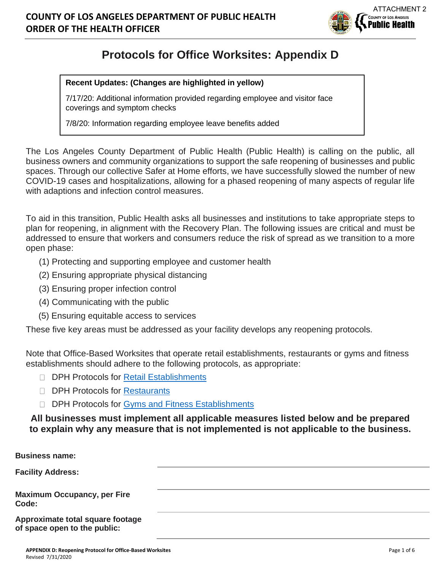

# **Protocols for Office Worksites: Appendix D**

#### **Recent Updates: (Changes are highlighted in yellow)**

7/17/20: Additional information provided regarding employee and visitor face coverings and symptom checks

7/8/20: Information regarding employee leave benefits added

The Los Angeles County Department of Public Health (Public Health) is calling on the public, all business owners and community organizations to support the safe reopening of businesses and public spaces. Through our collective Safer at Home efforts, we have successfully slowed the number of new COVID-19 cases and hospitalizations, allowing for a phased reopening of many aspects of regular life with adaptions and infection control measures.

To aid in this transition, Public Health asks all businesses and institutions to take appropriate steps to plan for reopening, in alignment with the Recovery Plan. The following issues are critical and must be addressed to ensure that workers and consumers reduce the risk of spread as we transition to a more open phase:

- (1) Protecting and supporting employee and customer health
- (2) Ensuring appropriate physical distancing
- (3) Ensuring proper infection control
- (4) Communicating with the public
- (5) Ensuring equitable access to services

These five key areas must be addressed as your facility develops any reopening protocols.

Note that Office-Based Worksites that operate retail establishments, restaurants or gyms and fitness establishments should adhere to the following protocols, as appropriate:

- DPH Protocols for [Retail Establishments](http://publichealth.lacounty.gov/media/coronavirus/docs/protocols/Reopening_RetailEstablishments.pdf)
- DPH Protocols for [Restaurants](http://publichealth.lacounty.gov/media/coronavirus/docs/protocols/Reopening_Restaurants.pdf)
- D DPH Protocols for [Gyms and Fitness Establishments](http://publichealth.lacounty.gov/media/coronavirus/docs/protocols/Reopening_FitnessEstablishments.pdf)

**All businesses must implement all applicable measures listed below and be prepared to explain why any measure that is not implemented is not applicable to the business.**

| <b>Business name:</b>                                            |  |
|------------------------------------------------------------------|--|
| <b>Facility Address:</b>                                         |  |
| <b>Maximum Occupancy, per Fire</b><br>Code:                      |  |
| Approximate total square footage<br>of space open to the public: |  |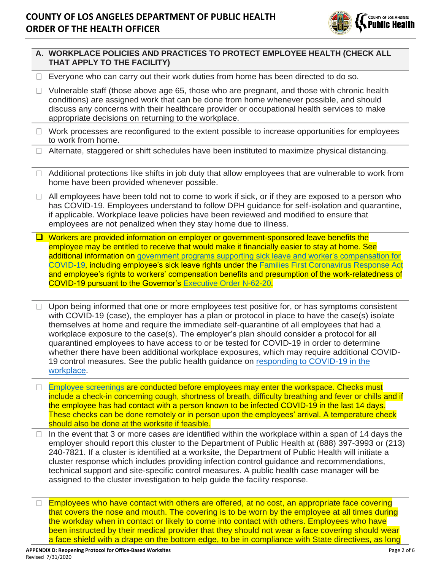

|         | A. WORKPLACE POLICIES AND PRACTICES TO PROTECT EMPLOYEE HEALTH (CHECK ALL<br>THAT APPLY TO THE FACILITY)                                                                                                                                                                                                                                                                                                                                                                                                                                                                                                                                                                                |
|---------|-----------------------------------------------------------------------------------------------------------------------------------------------------------------------------------------------------------------------------------------------------------------------------------------------------------------------------------------------------------------------------------------------------------------------------------------------------------------------------------------------------------------------------------------------------------------------------------------------------------------------------------------------------------------------------------------|
|         | Everyone who can carry out their work duties from home has been directed to do so.                                                                                                                                                                                                                                                                                                                                                                                                                                                                                                                                                                                                      |
| $\Box$  | Vulnerable staff (those above age 65, those who are pregnant, and those with chronic health<br>conditions) are assigned work that can be done from home whenever possible, and should<br>discuss any concerns with their healthcare provider or occupational health services to make<br>appropriate decisions on returning to the workplace.                                                                                                                                                                                                                                                                                                                                            |
| ⊔       | Work processes are reconfigured to the extent possible to increase opportunities for employees<br>to work from home.                                                                                                                                                                                                                                                                                                                                                                                                                                                                                                                                                                    |
| $\perp$ | Alternate, staggered or shift schedules have been instituted to maximize physical distancing.                                                                                                                                                                                                                                                                                                                                                                                                                                                                                                                                                                                           |
| $\Box$  | Additional protections like shifts in job duty that allow employees that are vulnerable to work from<br>home have been provided whenever possible.                                                                                                                                                                                                                                                                                                                                                                                                                                                                                                                                      |
| $\Box$  | All employees have been told not to come to work if sick, or if they are exposed to a person who<br>has COVID-19. Employees understand to follow DPH guidance for self-isolation and quarantine,<br>if applicable. Workplace leave policies have been reviewed and modified to ensure that<br>employees are not penalized when they stay home due to illness.                                                                                                                                                                                                                                                                                                                           |
| $\Box$  | Workers are provided information on employer or government-sponsored leave benefits the<br>employee may be entitled to receive that would make it financially easier to stay at home. See<br>additional information on government programs supporting sick leave and worker's compensation for<br>COVID-19, including employee's sick leave rights under the Families First Coronavirus Response Act<br>and employee's rights to workers' compensation benefits and presumption of the work-relatedness of<br><b>COVID-19 pursuant to the Governor's Executive Order N-62-20.</b>                                                                                                       |
| $\Box$  | Upon being informed that one or more employees test positive for, or has symptoms consistent<br>with COVID-19 (case), the employer has a plan or protocol in place to have the case(s) isolate<br>themselves at home and require the immediate self-quarantine of all employees that had a<br>workplace exposure to the case(s). The employer's plan should consider a protocol for all<br>quarantined employees to have access to or be tested for COVID-19 in order to determine<br>whether there have been additional workplace exposures, which may require additional COVID-<br>19 control measures. See the public health guidance on responding to COVID-19 in the<br>workplace. |
| $\Box$  | Employee screenings are conducted before employees may enter the workspace. Checks must<br>include a check-in concerning cough, shortness of breath, difficulty breathing and fever or chills and if<br>the employee has had contact with a person known to be infected COVID-19 in the last 14 days.<br>These checks can be done remotely or in person upon the employees' arrival. A temperature check<br>should also be done at the worksite if feasible.                                                                                                                                                                                                                            |
|         | In the event that 3 or more cases are identified within the workplace within a span of 14 days the<br>employer should report this cluster to the Department of Public Health at (888) 397-3993 or (213)<br>240-7821. If a cluster is identified at a worksite, the Department of Public Health will initiate a<br>cluster response which includes providing infection control guidance and recommendations,<br>technical support and site-specific control measures. A public health case manager will be<br>assigned to the cluster investigation to help guide the facility response.                                                                                                 |
| $\Box$  | Employees who have contact with others are offered, at no cost, an appropriate face covering<br>that covers the nose and mouth. The covering is to be worn by the employee at all times during<br>the workday when in contact or likely to come into contact with others. Employees who have<br>been instructed by their medical provider that they should not wear a face covering should wear<br>a face shield with a drape on the bottom edge, to be in compliance with State directives, as long                                                                                                                                                                                    |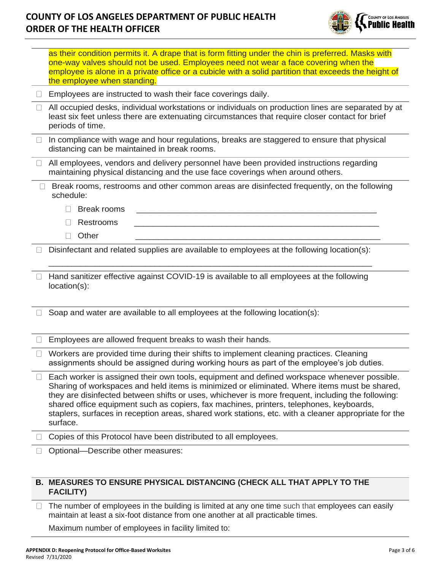

|        | as their condition permits it. A drape that is form fitting under the chin is preferred. Masks with<br>one-way valves should not be used. Employees need not wear a face covering when the<br>employee is alone in a private office or a cubicle with a solid partition that exceeds the height of<br>the employee when standing.                                                                                                                                                                               |
|--------|-----------------------------------------------------------------------------------------------------------------------------------------------------------------------------------------------------------------------------------------------------------------------------------------------------------------------------------------------------------------------------------------------------------------------------------------------------------------------------------------------------------------|
|        | Employees are instructed to wash their face coverings daily.                                                                                                                                                                                                                                                                                                                                                                                                                                                    |
|        | All occupied desks, individual workstations or individuals on production lines are separated by at<br>least six feet unless there are extenuating circumstances that require closer contact for brief<br>periods of time.                                                                                                                                                                                                                                                                                       |
| $\Box$ | In compliance with wage and hour regulations, breaks are staggered to ensure that physical<br>distancing can be maintained in break rooms.                                                                                                                                                                                                                                                                                                                                                                      |
| $\Box$ | All employees, vendors and delivery personnel have been provided instructions regarding<br>maintaining physical distancing and the use face coverings when around others.                                                                                                                                                                                                                                                                                                                                       |
|        | Break rooms, restrooms and other common areas are disinfected frequently, on the following<br>schedule:                                                                                                                                                                                                                                                                                                                                                                                                         |
|        | <b>Break rooms</b><br>П                                                                                                                                                                                                                                                                                                                                                                                                                                                                                         |
|        | <b>Restrooms</b>                                                                                                                                                                                                                                                                                                                                                                                                                                                                                                |
|        | Other<br>$\Box$                                                                                                                                                                                                                                                                                                                                                                                                                                                                                                 |
|        | Disinfectant and related supplies are available to employees at the following location(s):                                                                                                                                                                                                                                                                                                                                                                                                                      |
| $\Box$ | Hand sanitizer effective against COVID-19 is available to all employees at the following<br>location(s):                                                                                                                                                                                                                                                                                                                                                                                                        |
|        | Soap and water are available to all employees at the following location(s):                                                                                                                                                                                                                                                                                                                                                                                                                                     |
|        | Employees are allowed frequent breaks to wash their hands.                                                                                                                                                                                                                                                                                                                                                                                                                                                      |
| $\Box$ | Workers are provided time during their shifts to implement cleaning practices. Cleaning<br>assignments should be assigned during working hours as part of the employee's job duties.                                                                                                                                                                                                                                                                                                                            |
|        | Each worker is assigned their own tools, equipment and defined workspace whenever possible.<br>Sharing of workspaces and held items is minimized or eliminated. Where items must be shared,<br>they are disinfected between shifts or uses, whichever is more frequent, including the following:<br>shared office equipment such as copiers, fax machines, printers, telephones, keyboards,<br>staplers, surfaces in reception areas, shared work stations, etc. with a cleaner appropriate for the<br>surface. |
|        | Copies of this Protocol have been distributed to all employees.                                                                                                                                                                                                                                                                                                                                                                                                                                                 |
|        | Optional-Describe other measures:                                                                                                                                                                                                                                                                                                                                                                                                                                                                               |
|        |                                                                                                                                                                                                                                                                                                                                                                                                                                                                                                                 |
|        |                                                                                                                                                                                                                                                                                                                                                                                                                                                                                                                 |

## **B. MEASURES TO ENSURE PHYSICAL DISTANCING (CHECK ALL THAT APPLY TO THE FACILITY)**

The number of employees in the building is limited at any one time such that employees can easily maintain at least a six-foot distance from one another at all practicable times.

Maximum number of employees in facility limited to: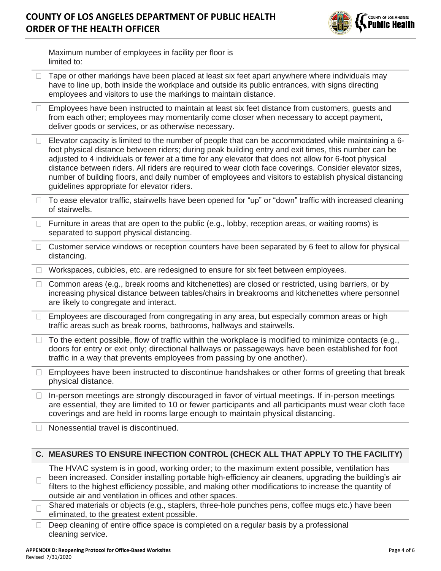

|        | Maximum number of employees in facility per floor is<br>limited to:                                                                                                                                                                                                                                                                                                                                                                                                                                                                                                                       |
|--------|-------------------------------------------------------------------------------------------------------------------------------------------------------------------------------------------------------------------------------------------------------------------------------------------------------------------------------------------------------------------------------------------------------------------------------------------------------------------------------------------------------------------------------------------------------------------------------------------|
| U      | Tape or other markings have been placed at least six feet apart anywhere where individuals may<br>have to line up, both inside the workplace and outside its public entrances, with signs directing<br>employees and visitors to use the markings to maintain distance.                                                                                                                                                                                                                                                                                                                   |
| $\Box$ | Employees have been instructed to maintain at least six feet distance from customers, guests and<br>from each other; employees may momentarily come closer when necessary to accept payment,<br>deliver goods or services, or as otherwise necessary.                                                                                                                                                                                                                                                                                                                                     |
|        | Elevator capacity is limited to the number of people that can be accommodated while maintaining a 6-<br>foot physical distance between riders; during peak building entry and exit times, this number can be<br>adjusted to 4 individuals or fewer at a time for any elevator that does not allow for 6-foot physical<br>distance between riders. All riders are required to wear cloth face coverings. Consider elevator sizes,<br>number of building floors, and daily number of employees and visitors to establish physical distancing<br>guidelines appropriate for elevator riders. |
|        | To ease elevator traffic, stairwells have been opened for "up" or "down" traffic with increased cleaning<br>of stairwells.                                                                                                                                                                                                                                                                                                                                                                                                                                                                |
| $\Box$ | Furniture in areas that are open to the public (e.g., lobby, reception areas, or waiting rooms) is<br>separated to support physical distancing.                                                                                                                                                                                                                                                                                                                                                                                                                                           |
| $\Box$ | Customer service windows or reception counters have been separated by 6 feet to allow for physical<br>distancing.                                                                                                                                                                                                                                                                                                                                                                                                                                                                         |
|        | Workspaces, cubicles, etc. are redesigned to ensure for six feet between employees.                                                                                                                                                                                                                                                                                                                                                                                                                                                                                                       |
| $\Box$ | Common areas (e.g., break rooms and kitchenettes) are closed or restricted, using barriers, or by<br>increasing physical distance between tables/chairs in breakrooms and kitchenettes where personnel<br>are likely to congregate and interact.                                                                                                                                                                                                                                                                                                                                          |
| $\Box$ | Employees are discouraged from congregating in any area, but especially common areas or high<br>traffic areas such as break rooms, bathrooms, hallways and stairwells.                                                                                                                                                                                                                                                                                                                                                                                                                    |
| $\Box$ | To the extent possible, flow of traffic within the workplace is modified to minimize contacts (e.g.,<br>doors for entry or exit only; directional hallways or passageways have been established for foot<br>traffic in a way that prevents employees from passing by one another).                                                                                                                                                                                                                                                                                                        |
|        | Employees have been instructed to discontinue handshakes or other forms of greeting that break<br>physical distance.                                                                                                                                                                                                                                                                                                                                                                                                                                                                      |
|        | In-person meetings are strongly discouraged in favor of virtual meetings. If in-person meetings<br>are essential, they are limited to 10 or fewer participants and all participants must wear cloth face<br>coverings and are held in rooms large enough to maintain physical distancing.                                                                                                                                                                                                                                                                                                 |
|        | Nonessential travel is discontinued.                                                                                                                                                                                                                                                                                                                                                                                                                                                                                                                                                      |
|        | C. MEASURES TO ENSURE INFECTION CONTROL (CHECK ALL THAT APPLY TO THE FACILITY)                                                                                                                                                                                                                                                                                                                                                                                                                                                                                                            |
|        | The HVAC system is in good, working order; to the maximum extent possible, ventilation has<br>been increased. Consider installing portable high-efficiency air cleaners, upgrading the building's air<br>filters to the highest efficiency possible, and making other modifications to increase the quantity of<br>outside air and ventilation in offices and other spaces.                                                                                                                                                                                                               |
|        | Shared materials or objects (e.g., staplers, three-hole punches pens, coffee mugs etc.) have been<br>eliminated, to the greatest extent possible.                                                                                                                                                                                                                                                                                                                                                                                                                                         |

Deep cleaning of entire office space is completed on a regular basis by a professional cleaning service.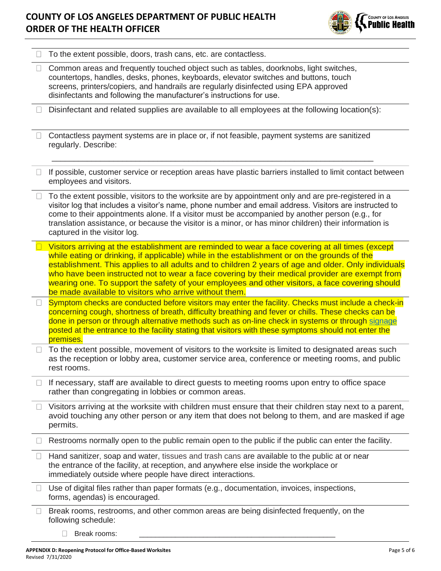

|              | To the extent possible, doors, trash cans, etc. are contactless.                                                                                                                                                                                                                                                                                                                                                                                                                                                                                                        |
|--------------|-------------------------------------------------------------------------------------------------------------------------------------------------------------------------------------------------------------------------------------------------------------------------------------------------------------------------------------------------------------------------------------------------------------------------------------------------------------------------------------------------------------------------------------------------------------------------|
| $\mathbf{L}$ | Common areas and frequently touched object such as tables, doorknobs, light switches,<br>countertops, handles, desks, phones, keyboards, elevator switches and buttons, touch<br>screens, printers/copiers, and handrails are regularly disinfected using EPA approved<br>disinfectants and following the manufacturer's instructions for use.                                                                                                                                                                                                                          |
|              | Disinfectant and related supplies are available to all employees at the following location(s):                                                                                                                                                                                                                                                                                                                                                                                                                                                                          |
|              | Contactless payment systems are in place or, if not feasible, payment systems are sanitized<br>regularly. Describe:                                                                                                                                                                                                                                                                                                                                                                                                                                                     |
|              | If possible, customer service or reception areas have plastic barriers installed to limit contact between<br>employees and visitors.                                                                                                                                                                                                                                                                                                                                                                                                                                    |
|              | To the extent possible, visitors to the worksite are by appointment only and are pre-registered in a<br>visitor log that includes a visitor's name, phone number and email address. Visitors are instructed to<br>come to their appointments alone. If a visitor must be accompanied by another person (e.g., for<br>translation assistance, or because the visitor is a minor, or has minor children) their information is<br>captured in the visitor log.                                                                                                             |
|              | Visitors arriving at the establishment are reminded to wear a face covering at all times (except<br>while eating or drinking, if applicable) while in the establishment or on the grounds of the<br>establishment. This applies to all adults and to children 2 years of age and older. Only individuals<br>who have been instructed not to wear a face covering by their medical provider are exempt from<br>wearing one. To support the safety of your employees and other visitors, a face covering should<br>be made available to visitors who arrive without them. |
| $\Box$       | Symptom checks are conducted before visitors may enter the facility. Checks must include a check-in<br>concerning cough, shortness of breath, difficulty breathing and fever or chills. These checks can be<br>done in person or through alternative methods such as on-line check in systems or through signage<br>posted at the entrance to the facility stating that visitors with these symptoms should not enter the<br>premises.                                                                                                                                  |
|              | To the extent possible, movement of visitors to the worksite is limited to designated areas such<br>as the reception or lobby area, customer service area, conference or meeting rooms, and public<br>rest rooms.                                                                                                                                                                                                                                                                                                                                                       |
|              | If necessary, staff are available to direct guests to meeting rooms upon entry to office space<br>rather than congregating in lobbies or common areas.                                                                                                                                                                                                                                                                                                                                                                                                                  |
|              | Visitors arriving at the worksite with children must ensure that their children stay next to a parent,<br>avoid touching any other person or any item that does not belong to them, and are masked if age<br>permits.                                                                                                                                                                                                                                                                                                                                                   |
|              | Restrooms normally open to the public remain open to the public if the public can enter the facility.                                                                                                                                                                                                                                                                                                                                                                                                                                                                   |
|              | Hand sanitizer, soap and water, tissues and trash cans are available to the public at or near<br>the entrance of the facility, at reception, and anywhere else inside the workplace or<br>immediately outside where people have direct interactions.                                                                                                                                                                                                                                                                                                                    |
|              | Use of digital files rather than paper formats (e.g., documentation, invoices, inspections,<br>forms, agendas) is encouraged.                                                                                                                                                                                                                                                                                                                                                                                                                                           |
|              | Break rooms, restrooms, and other common areas are being disinfected frequently, on the<br>following schedule:<br>Break rooms:                                                                                                                                                                                                                                                                                                                                                                                                                                          |
|              |                                                                                                                                                                                                                                                                                                                                                                                                                                                                                                                                                                         |